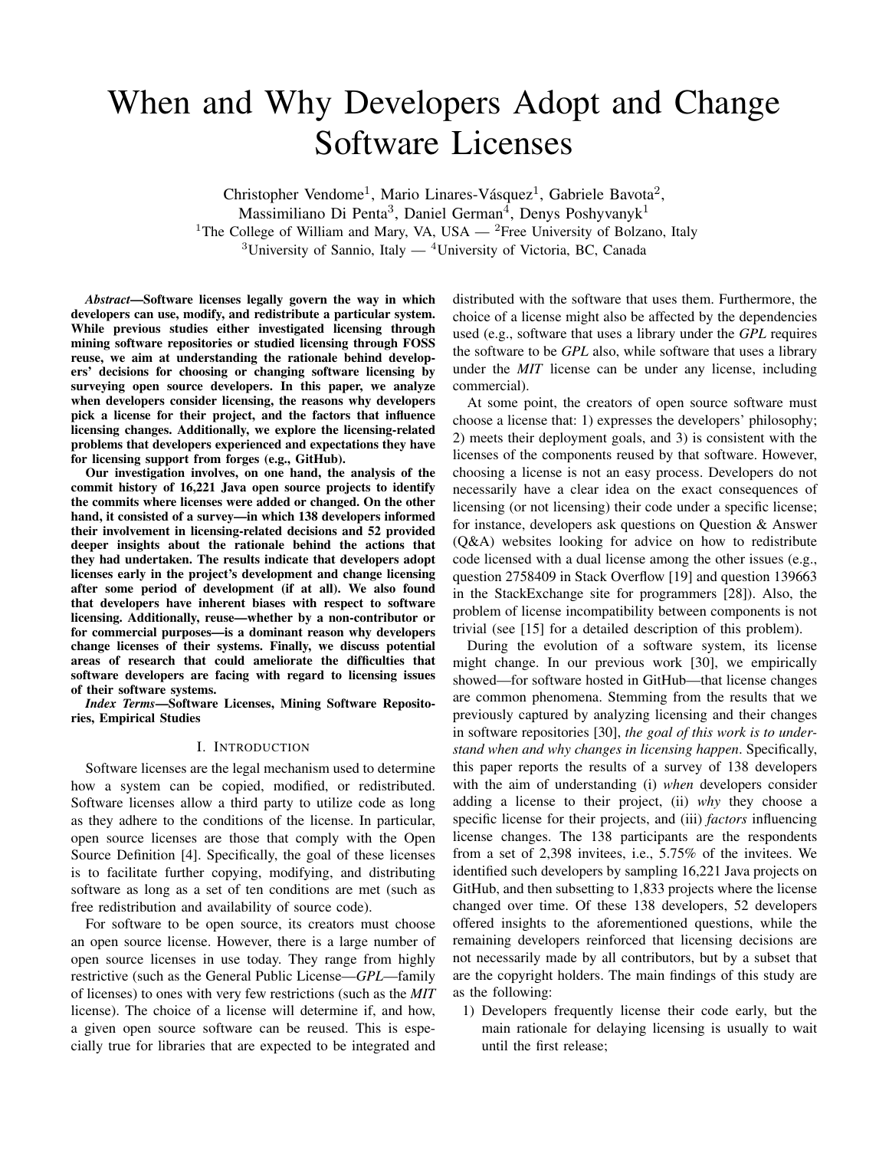# When and Why Developers Adopt and Change Software Licenses

Christopher Vendome<sup>1</sup>, Mario Linares-Vásquez<sup>1</sup>, Gabriele Bavota<sup>2</sup>, Massimiliano Di Penta<sup>3</sup>, Daniel German<sup>4</sup>, Denys Poshyvanyk<sup>1</sup> <sup>1</sup>The College of William and Mary, VA, USA — <sup>2</sup>Free University of Bolzano, Italy  $3$ University of Sannio, Italy  $4$ University of Victoria, BC, Canada

*Abstract*—Software licenses legally govern the way in which developers can use, modify, and redistribute a particular system. While previous studies either investigated licensing through mining software repositories or studied licensing through FOSS reuse, we aim at understanding the rationale behind developers' decisions for choosing or changing software licensing by surveying open source developers. In this paper, we analyze when developers consider licensing, the reasons why developers pick a license for their project, and the factors that influence licensing changes. Additionally, we explore the licensing-related problems that developers experienced and expectations they have for licensing support from forges (e.g., GitHub).

Our investigation involves, on one hand, the analysis of the commit history of 16,221 Java open source projects to identify the commits where licenses were added or changed. On the other hand, it consisted of a survey—in which 138 developers informed their involvement in licensing-related decisions and 52 provided deeper insights about the rationale behind the actions that they had undertaken. The results indicate that developers adopt licenses early in the project's development and change licensing after some period of development (if at all). We also found that developers have inherent biases with respect to software licensing. Additionally, reuse—whether by a non-contributor or for commercial purposes—is a dominant reason why developers change licenses of their systems. Finally, we discuss potential areas of research that could ameliorate the difficulties that software developers are facing with regard to licensing issues of their software systems.

*Index Terms*—Software Licenses, Mining Software Repositories, Empirical Studies

#### I. INTRODUCTION

Software licenses are the legal mechanism used to determine how a system can be copied, modified, or redistributed. Software licenses allow a third party to utilize code as long as they adhere to the conditions of the license. In particular, open source licenses are those that comply with the Open Source Definition [4]. Specifically, the goal of these licenses is to facilitate further copying, modifying, and distributing software as long as a set of ten conditions are met (such as free redistribution and availability of source code).

For software to be open source, its creators must choose an open source license. However, there is a large number of open source licenses in use today. They range from highly restrictive (such as the General Public License—*GPL*—family of licenses) to ones with very few restrictions (such as the *MIT* license). The choice of a license will determine if, and how, a given open source software can be reused. This is especially true for libraries that are expected to be integrated and

distributed with the software that uses them. Furthermore, the choice of a license might also be affected by the dependencies used (e.g., software that uses a library under the *GPL* requires the software to be *GPL* also, while software that uses a library under the *MIT* license can be under any license, including commercial).

At some point, the creators of open source software must choose a license that: 1) expresses the developers' philosophy; 2) meets their deployment goals, and 3) is consistent with the licenses of the components reused by that software. However, choosing a license is not an easy process. Developers do not necessarily have a clear idea on the exact consequences of licensing (or not licensing) their code under a specific license; for instance, developers ask questions on Question & Answer (Q&A) websites looking for advice on how to redistribute code licensed with a dual license among the other issues (e.g., question 2758409 in Stack Overflow [19] and question 139663 in the StackExchange site for programmers [28]). Also, the problem of license incompatibility between components is not trivial (see [15] for a detailed description of this problem).

During the evolution of a software system, its license might change. In our previous work [30], we empirically showed—for software hosted in GitHub—that license changes are common phenomena. Stemming from the results that we previously captured by analyzing licensing and their changes in software repositories [30], *the goal of this work is to understand when and why changes in licensing happen*. Specifically, this paper reports the results of a survey of 138 developers with the aim of understanding (i) *when* developers consider adding a license to their project, (ii) *why* they choose a specific license for their projects, and (iii) *factors* influencing license changes. The 138 participants are the respondents from a set of 2,398 invitees, i.e., 5.75% of the invitees. We identified such developers by sampling 16,221 Java projects on GitHub, and then subsetting to 1,833 projects where the license changed over time. Of these 138 developers, 52 developers offered insights to the aforementioned questions, while the remaining developers reinforced that licensing decisions are not necessarily made by all contributors, but by a subset that are the copyright holders. The main findings of this study are as the following:

1) Developers frequently license their code early, but the main rationale for delaying licensing is usually to wait until the first release;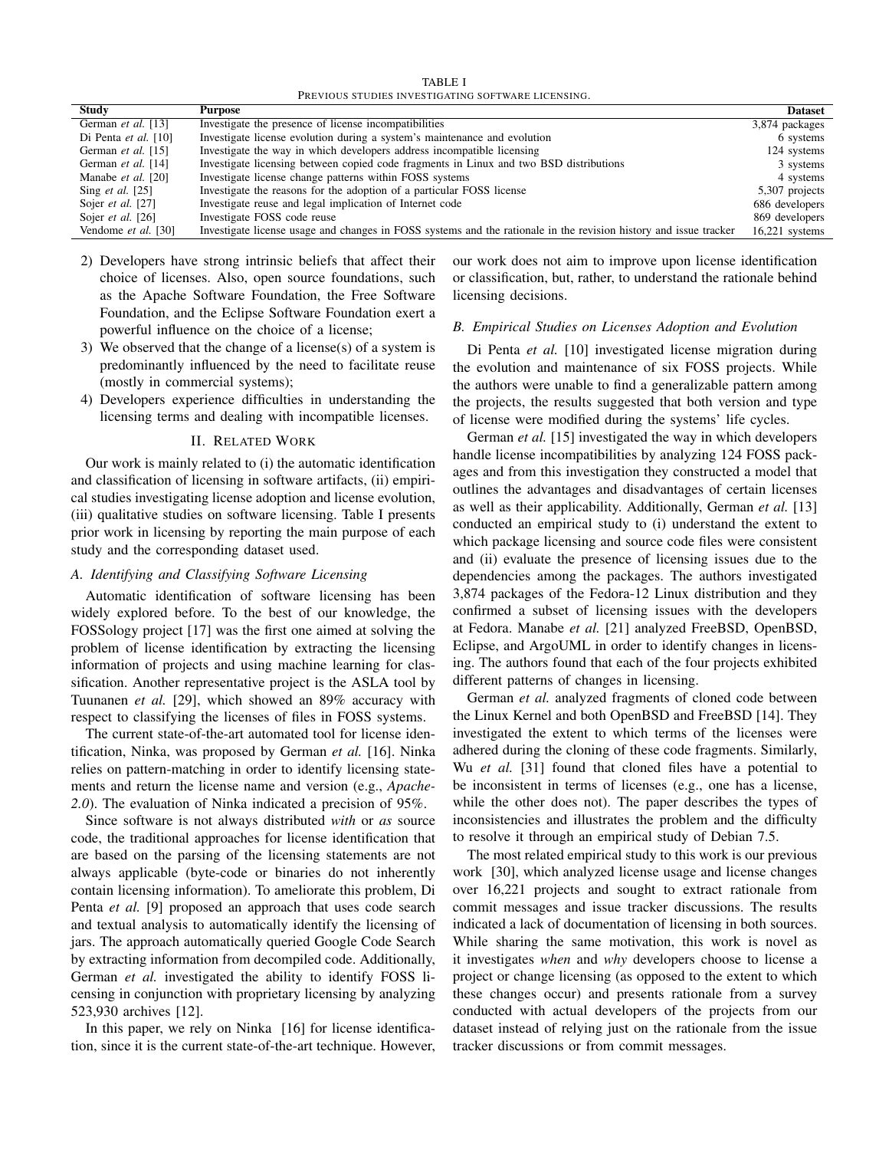TABLE I PREVIOUS STUDIES INVESTIGATING SOFTWARE LICENSING.

| <b>Study</b>              | Purpose                                                                                                           | <b>Dataset</b>   |  |  |
|---------------------------|-------------------------------------------------------------------------------------------------------------------|------------------|--|--|
| German et al. [13]        | Investigate the presence of license incompatibilities                                                             | 3,874 packages   |  |  |
| Di Penta et al. $[10]$    | Investigate license evolution during a system's maintenance and evolution                                         | 6 systems        |  |  |
| German et al. [15]        | Investigate the way in which developers address incompatible licensing                                            | 124 systems      |  |  |
| German et al. [14]        | Investigate licensing between copied code fragments in Linux and two BSD distributions                            | 3 systems        |  |  |
| Manabe et al. [20]        | Investigate license change patterns within FOSS systems                                                           | 4 systems        |  |  |
| Sing <i>et al.</i> $[25]$ | Investigate the reasons for the adoption of a particular FOSS license                                             | 5,307 projects   |  |  |
| Sojer et al. [27]         | Investigate reuse and legal implication of Internet code                                                          | 686 developers   |  |  |
| Sojer et al. [26]         | Investigate FOSS code reuse                                                                                       | 869 developers   |  |  |
| Vendome et al. [30]       | Investigate license usage and changes in FOSS systems and the rationale in the revision history and issue tracker | $16,221$ systems |  |  |

- 2) Developers have strong intrinsic beliefs that affect their choice of licenses. Also, open source foundations, such as the Apache Software Foundation, the Free Software Foundation, and the Eclipse Software Foundation exert a powerful influence on the choice of a license;
- 3) We observed that the change of a license(s) of a system is predominantly influenced by the need to facilitate reuse (mostly in commercial systems);
- 4) Developers experience difficulties in understanding the licensing terms and dealing with incompatible licenses.

## II. RELATED WORK

Our work is mainly related to (i) the automatic identification and classification of licensing in software artifacts, (ii) empirical studies investigating license adoption and license evolution, (iii) qualitative studies on software licensing. Table I presents prior work in licensing by reporting the main purpose of each study and the corresponding dataset used.

# *A. Identifying and Classifying Software Licensing*

Automatic identification of software licensing has been widely explored before. To the best of our knowledge, the FOSSology project [17] was the first one aimed at solving the problem of license identification by extracting the licensing information of projects and using machine learning for classification. Another representative project is the ASLA tool by Tuunanen *et al.* [29], which showed an 89% accuracy with respect to classifying the licenses of files in FOSS systems.

The current state-of-the-art automated tool for license identification, Ninka, was proposed by German *et al.* [16]. Ninka relies on pattern-matching in order to identify licensing statements and return the license name and version (e.g., *Apache-2.0*). The evaluation of Ninka indicated a precision of 95%.

Since software is not always distributed *with* or *as* source code, the traditional approaches for license identification that are based on the parsing of the licensing statements are not always applicable (byte-code or binaries do not inherently contain licensing information). To ameliorate this problem, Di Penta *et al.* [9] proposed an approach that uses code search and textual analysis to automatically identify the licensing of jars. The approach automatically queried Google Code Search by extracting information from decompiled code. Additionally, German *et al.* investigated the ability to identify FOSS licensing in conjunction with proprietary licensing by analyzing 523,930 archives [12].

In this paper, we rely on Ninka [16] for license identification, since it is the current state-of-the-art technique. However, our work does not aim to improve upon license identification or classification, but, rather, to understand the rationale behind licensing decisions.

## *B. Empirical Studies on Licenses Adoption and Evolution*

Di Penta *et al.* [10] investigated license migration during the evolution and maintenance of six FOSS projects. While the authors were unable to find a generalizable pattern among the projects, the results suggested that both version and type of license were modified during the systems' life cycles.

German *et al.* [15] investigated the way in which developers handle license incompatibilities by analyzing 124 FOSS packages and from this investigation they constructed a model that outlines the advantages and disadvantages of certain licenses as well as their applicability. Additionally, German *et al.* [13] conducted an empirical study to (i) understand the extent to which package licensing and source code files were consistent and (ii) evaluate the presence of licensing issues due to the dependencies among the packages. The authors investigated 3,874 packages of the Fedora-12 Linux distribution and they confirmed a subset of licensing issues with the developers at Fedora. Manabe *et al.* [21] analyzed FreeBSD, OpenBSD, Eclipse, and ArgoUML in order to identify changes in licensing. The authors found that each of the four projects exhibited different patterns of changes in licensing.

German *et al.* analyzed fragments of cloned code between the Linux Kernel and both OpenBSD and FreeBSD [14]. They investigated the extent to which terms of the licenses were adhered during the cloning of these code fragments. Similarly, Wu *et al.* [31] found that cloned files have a potential to be inconsistent in terms of licenses (e.g., one has a license, while the other does not). The paper describes the types of inconsistencies and illustrates the problem and the difficulty to resolve it through an empirical study of Debian 7.5.

The most related empirical study to this work is our previous work [30], which analyzed license usage and license changes over 16,221 projects and sought to extract rationale from commit messages and issue tracker discussions. The results indicated a lack of documentation of licensing in both sources. While sharing the same motivation, this work is novel as it investigates *when* and *why* developers choose to license a project or change licensing (as opposed to the extent to which these changes occur) and presents rationale from a survey conducted with actual developers of the projects from our dataset instead of relying just on the rationale from the issue tracker discussions or from commit messages.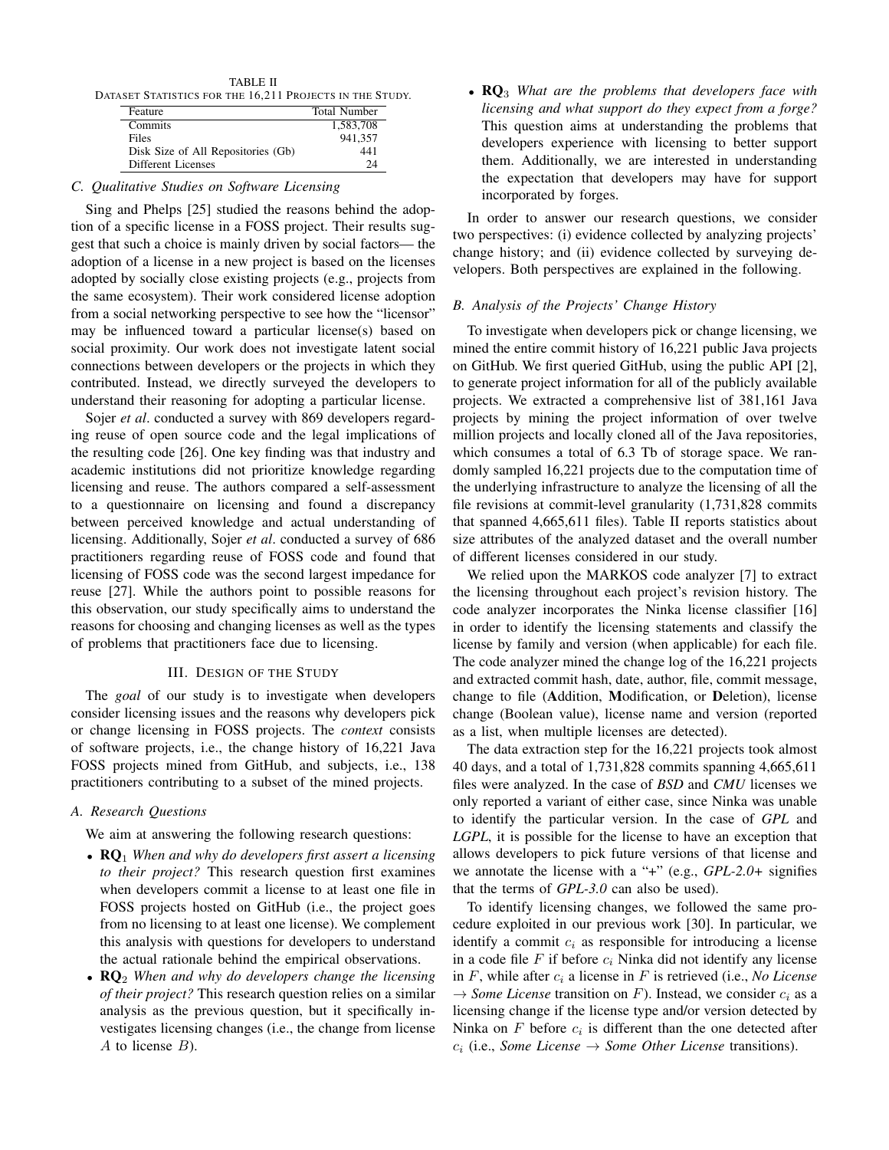TABLE II DATASET STATISTICS FOR THE 16,211 PROJECTS IN THE STUDY.

| Feature                            | <b>Total Number</b> |
|------------------------------------|---------------------|
| Commits                            | 1.583.708           |
| Files                              | 941.357             |
| Disk Size of All Repositories (Gb) | 441                 |
| Different Licenses                 | 24                  |

## *C. Qualitative Studies on Software Licensing*

Sing and Phelps [25] studied the reasons behind the adoption of a specific license in a FOSS project. Their results suggest that such a choice is mainly driven by social factors— the adoption of a license in a new project is based on the licenses adopted by socially close existing projects (e.g., projects from the same ecosystem). Their work considered license adoption from a social networking perspective to see how the "licensor" may be influenced toward a particular license(s) based on social proximity. Our work does not investigate latent social connections between developers or the projects in which they contributed. Instead, we directly surveyed the developers to understand their reasoning for adopting a particular license.

Sojer *et al.* conducted a survey with 869 developers regarding reuse of open source code and the legal implications of the resulting code [26]. One key finding was that industry and academic institutions did not prioritize knowledge regarding licensing and reuse. The authors compared a self-assessment to a questionnaire on licensing and found a discrepancy between perceived knowledge and actual understanding of licensing. Additionally, Sojer *et al*. conducted a survey of 686 practitioners regarding reuse of FOSS code and found that licensing of FOSS code was the second largest impedance for reuse [27]. While the authors point to possible reasons for this observation, our study specifically aims to understand the reasons for choosing and changing licenses as well as the types of problems that practitioners face due to licensing.

## III. DESIGN OF THE STUDY

The *goal* of our study is to investigate when developers consider licensing issues and the reasons why developers pick or change licensing in FOSS projects. The *context* consists of software projects, i.e., the change history of 16,221 Java FOSS projects mined from GitHub, and subjects, i.e., 138 practitioners contributing to a subset of the mined projects.

## *A. Research Questions*

We aim at answering the following research questions:

- RQ<sup>1</sup> *When and why do developers first assert a licensing to their project?* This research question first examines when developers commit a license to at least one file in FOSS projects hosted on GitHub (i.e., the project goes from no licensing to at least one license). We complement this analysis with questions for developers to understand the actual rationale behind the empirical observations.
- **RQ**<sub>2</sub> *When and why do developers change the licensing of their project?* This research question relies on a similar analysis as the previous question, but it specifically investigates licensing changes (i.e., the change from license  $A$  to license  $B$ ).

• **RO**<sub>3</sub> *What are the problems that developers face with licensing and what support do they expect from a forge?* This question aims at understanding the problems that developers experience with licensing to better support them. Additionally, we are interested in understanding the expectation that developers may have for support incorporated by forges.

In order to answer our research questions, we consider two perspectives: (i) evidence collected by analyzing projects' change history; and (ii) evidence collected by surveying developers. Both perspectives are explained in the following.

## *B. Analysis of the Projects' Change History*

To investigate when developers pick or change licensing, we mined the entire commit history of 16,221 public Java projects on GitHub. We first queried GitHub, using the public API [2], to generate project information for all of the publicly available projects. We extracted a comprehensive list of 381,161 Java projects by mining the project information of over twelve million projects and locally cloned all of the Java repositories, which consumes a total of 6.3 Tb of storage space. We randomly sampled 16,221 projects due to the computation time of the underlying infrastructure to analyze the licensing of all the file revisions at commit-level granularity (1,731,828 commits that spanned 4,665,611 files). Table II reports statistics about size attributes of the analyzed dataset and the overall number of different licenses considered in our study.

We relied upon the MARKOS code analyzer [7] to extract the licensing throughout each project's revision history. The code analyzer incorporates the Ninka license classifier [16] in order to identify the licensing statements and classify the license by family and version (when applicable) for each file. The code analyzer mined the change log of the 16,221 projects and extracted commit hash, date, author, file, commit message, change to file (Addition, Modification, or Deletion), license change (Boolean value), license name and version (reported as a list, when multiple licenses are detected).

The data extraction step for the 16,221 projects took almost 40 days, and a total of 1,731,828 commits spanning 4,665,611 files were analyzed. In the case of *BSD* and *CMU* licenses we only reported a variant of either case, since Ninka was unable to identify the particular version. In the case of *GPL* and *LGPL*, it is possible for the license to have an exception that allows developers to pick future versions of that license and we annotate the license with a "+" (e.g., *GPL-2.0+* signifies that the terms of *GPL-3.0* can also be used).

To identify licensing changes, we followed the same procedure exploited in our previous work [30]. In particular, we identify a commit  $c_i$  as responsible for introducing a license in a code file  $F$  if before  $c_i$  Ninka did not identify any license in  $F$ , while after  $c_i$  a license in  $F$  is retrieved (i.e., *No License*  $\rightarrow$  *Some License* transition on F). Instead, we consider  $c_i$  as a licensing change if the license type and/or version detected by Ninka on  $F$  before  $c_i$  is different than the one detected after  $c_i$  (i.e., *Some License*  $\rightarrow$  *Some Other License* transitions).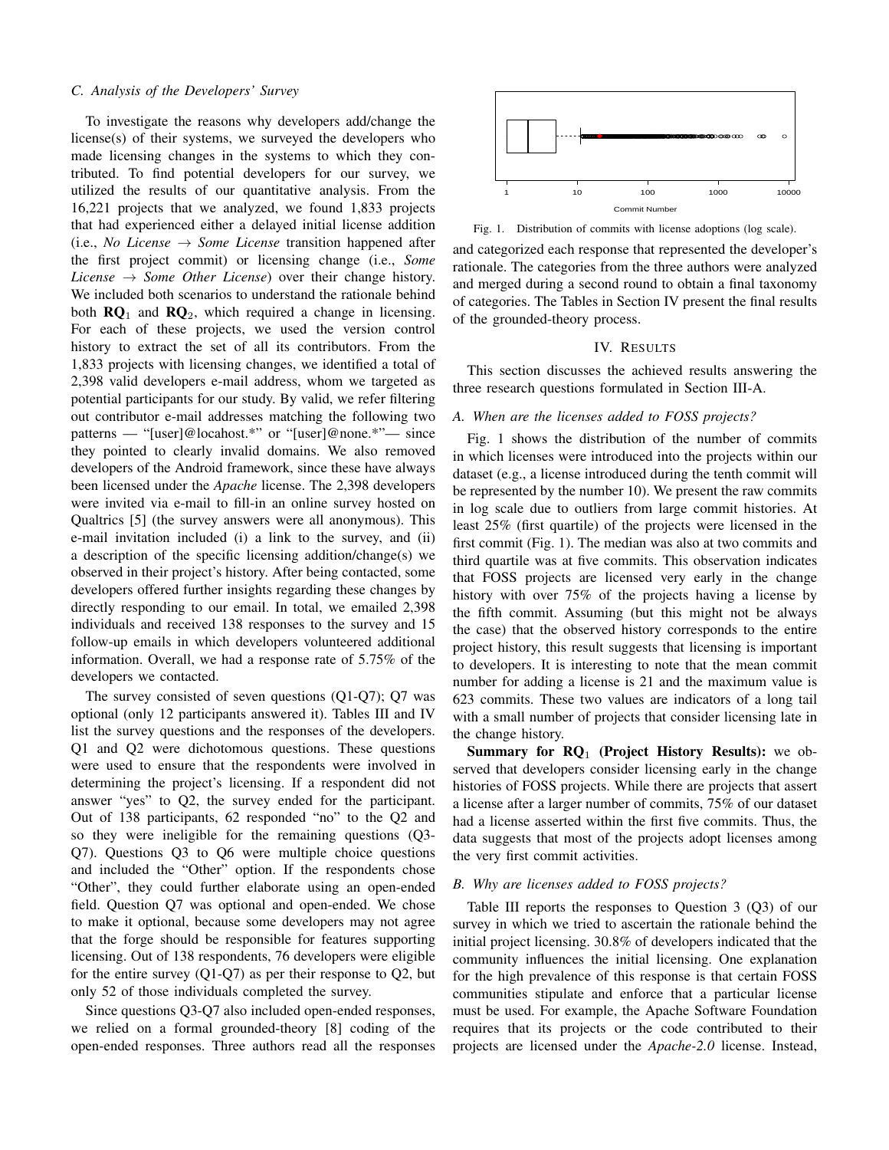## *C. Analysis of the Developers' Survey*

To investigate the reasons why developers add/change the license(s) of their systems, we surveyed the developers who made licensing changes in the systems to which they contributed. To find potential developers for our survey, we utilized the results of our quantitative analysis. From the 16,221 projects that we analyzed, we found 1,833 projects that had experienced either a delayed initial license addition  $(i.e., No License \rightarrow Some License$  transition happened after the first project commit) or licensing change (i.e., *Some License*  $\rightarrow$  *Some Other License*) over their change history. We included both scenarios to understand the rationale behind both  $\mathbb{R}Q_1$  and  $\mathbb{R}Q_2$ , which required a change in licensing. For each of these projects, we used the version control history to extract the set of all its contributors. From the 1,833 projects with licensing changes, we identified a total of 2,398 valid developers e-mail address, whom we targeted as potential participants for our study. By valid, we refer filtering out contributor e-mail addresses matching the following two patterns — "[user]@locahost.\*" or "[user]@none.\*"— since they pointed to clearly invalid domains. We also removed developers of the Android framework, since these have always been licensed under the *Apache* license. The 2,398 developers were invited via e-mail to fill-in an online survey hosted on Qualtrics [5] (the survey answers were all anonymous). This e-mail invitation included (i) a link to the survey, and (ii) a description of the specific licensing addition/change(s) we observed in their project's history. After being contacted, some developers offered further insights regarding these changes by directly responding to our email. In total, we emailed 2,398 individuals and received 138 responses to the survey and 15 follow-up emails in which developers volunteered additional information. Overall, we had a response rate of 5.75% of the developers we contacted.

The survey consisted of seven questions (Q1-Q7); Q7 was optional (only 12 participants answered it). Tables III and IV list the survey questions and the responses of the developers. Q1 and Q2 were dichotomous questions. These questions were used to ensure that the respondents were involved in determining the project's licensing. If a respondent did not answer "yes" to Q2, the survey ended for the participant. Out of 138 participants, 62 responded "no" to the Q2 and so they were ineligible for the remaining questions (Q3- Q7). Questions Q3 to Q6 were multiple choice questions and included the "Other" option. If the respondents chose "Other", they could further elaborate using an open-ended field. Question Q7 was optional and open-ended. We chose to make it optional, because some developers may not agree that the forge should be responsible for features supporting licensing. Out of 138 respondents, 76 developers were eligible for the entire survey (Q1-Q7) as per their response to Q2, but only 52 of those individuals completed the survey.

Since questions Q3-Q7 also included open-ended responses, we relied on a formal grounded-theory [8] coding of the open-ended responses. Three authors read all the responses



Fig. 1. Distribution of commits with license adoptions (log scale).

and categorized each response that represented the developer's rationale. The categories from the three authors were analyzed and merged during a second round to obtain a final taxonomy of categories. The Tables in Section IV present the final results of the grounded-theory process.

#### IV. RESULTS

This section discusses the achieved results answering the three research questions formulated in Section III-A.

## *A. When are the licenses added to FOSS projects?*

Fig. 1 shows the distribution of the number of commits in which licenses were introduced into the projects within our dataset (e.g., a license introduced during the tenth commit will be represented by the number 10). We present the raw commits in log scale due to outliers from large commit histories. At least 25% (first quartile) of the projects were licensed in the first commit (Fig. 1). The median was also at two commits and third quartile was at five commits. This observation indicates that FOSS projects are licensed very early in the change history with over 75% of the projects having a license by the fifth commit. Assuming (but this might not be always the case) that the observed history corresponds to the entire project history, this result suggests that licensing is important to developers. It is interesting to note that the mean commit number for adding a license is 21 and the maximum value is 623 commits. These two values are indicators of a long tail with a small number of projects that consider licensing late in the change history.

Summary for  $\mathbb{R}Q_1$  (Project History Results): we observed that developers consider licensing early in the change histories of FOSS projects. While there are projects that assert a license after a larger number of commits, 75% of our dataset had a license asserted within the first five commits. Thus, the data suggests that most of the projects adopt licenses among the very first commit activities.

## *B. Why are licenses added to FOSS projects?*

Table III reports the responses to Question 3 (Q3) of our survey in which we tried to ascertain the rationale behind the initial project licensing. 30.8% of developers indicated that the community influences the initial licensing. One explanation for the high prevalence of this response is that certain FOSS communities stipulate and enforce that a particular license must be used. For example, the Apache Software Foundation requires that its projects or the code contributed to their projects are licensed under the *Apache-2.0* license. Instead,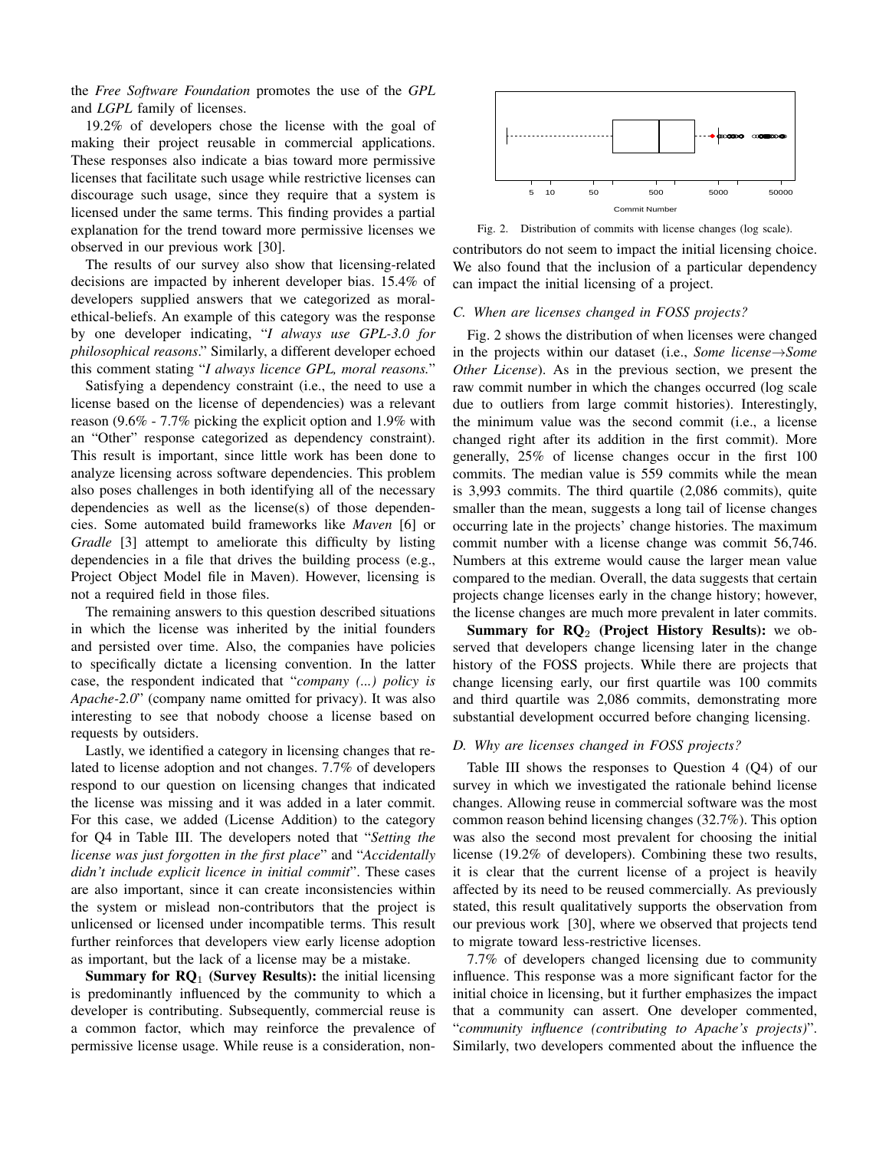the *Free Software Foundation* promotes the use of the *GPL* and *LGPL* family of licenses.

19.2% of developers chose the license with the goal of making their project reusable in commercial applications. These responses also indicate a bias toward more permissive licenses that facilitate such usage while restrictive licenses can discourage such usage, since they require that a system is licensed under the same terms. This finding provides a partial explanation for the trend toward more permissive licenses we observed in our previous work [30].

The results of our survey also show that licensing-related decisions are impacted by inherent developer bias. 15.4% of developers supplied answers that we categorized as moralethical-beliefs. An example of this category was the response by one developer indicating, "*I always use GPL-3.0 for philosophical reasons*." Similarly, a different developer echoed this comment stating "*I always licence GPL, moral reasons.*"

Satisfying a dependency constraint (i.e., the need to use a license based on the license of dependencies) was a relevant reason (9.6% - 7.7% picking the explicit option and 1.9% with an "Other" response categorized as dependency constraint). This result is important, since little work has been done to analyze licensing across software dependencies. This problem also poses challenges in both identifying all of the necessary dependencies as well as the license(s) of those dependencies. Some automated build frameworks like *Maven* [6] or *Gradle* [3] attempt to ameliorate this difficulty by listing dependencies in a file that drives the building process (e.g., Project Object Model file in Maven). However, licensing is not a required field in those files.

The remaining answers to this question described situations in which the license was inherited by the initial founders and persisted over time. Also, the companies have policies to specifically dictate a licensing convention. In the latter case, the respondent indicated that "*company (...) policy is Apache-2.0*" (company name omitted for privacy). It was also interesting to see that nobody choose a license based on requests by outsiders.

Lastly, we identified a category in licensing changes that related to license adoption and not changes. 7.7% of developers respond to our question on licensing changes that indicated the license was missing and it was added in a later commit. For this case, we added (License Addition) to the category for Q4 in Table III. The developers noted that "*Setting the license was just forgotten in the first place*" and "*Accidentally didn't include explicit licence in initial commit*". These cases are also important, since it can create inconsistencies within the system or mislead non-contributors that the project is unlicensed or licensed under incompatible terms. This result further reinforces that developers view early license adoption as important, but the lack of a license may be a mistake.

**Summary for**  $\mathbb{R}Q_1$  **(Survey Results):** the initial licensing is predominantly influenced by the community to which a developer is contributing. Subsequently, commercial reuse is a common factor, which may reinforce the prevalence of permissive license usage. While reuse is a consideration, non-



Fig. 2. Distribution of commits with license changes (log scale).

contributors do not seem to impact the initial licensing choice. We also found that the inclusion of a particular dependency can impact the initial licensing of a project.

## *C. When are licenses changed in FOSS projects?*

Fig. 2 shows the distribution of when licenses were changed in the projects within our dataset (i.e., *Some license*→*Some Other License*). As in the previous section, we present the raw commit number in which the changes occurred (log scale due to outliers from large commit histories). Interestingly, the minimum value was the second commit (i.e., a license changed right after its addition in the first commit). More generally, 25% of license changes occur in the first 100 commits. The median value is 559 commits while the mean is 3,993 commits. The third quartile (2,086 commits), quite smaller than the mean, suggests a long tail of license changes occurring late in the projects' change histories. The maximum commit number with a license change was commit 56,746. Numbers at this extreme would cause the larger mean value compared to the median. Overall, the data suggests that certain projects change licenses early in the change history; however, the license changes are much more prevalent in later commits.

Summary for  $\mathbb{R}Q_2$  (Project History Results): we observed that developers change licensing later in the change history of the FOSS projects. While there are projects that change licensing early, our first quartile was 100 commits and third quartile was 2,086 commits, demonstrating more substantial development occurred before changing licensing.

## *D. Why are licenses changed in FOSS projects?*

Table III shows the responses to Question 4 (Q4) of our survey in which we investigated the rationale behind license changes. Allowing reuse in commercial software was the most common reason behind licensing changes (32.7%). This option was also the second most prevalent for choosing the initial license (19.2% of developers). Combining these two results, it is clear that the current license of a project is heavily affected by its need to be reused commercially. As previously stated, this result qualitatively supports the observation from our previous work [30], where we observed that projects tend to migrate toward less-restrictive licenses.

7.7% of developers changed licensing due to community influence. This response was a more significant factor for the initial choice in licensing, but it further emphasizes the impact that a community can assert. One developer commented, "*community influence (contributing to Apache's projects)*". Similarly, two developers commented about the influence the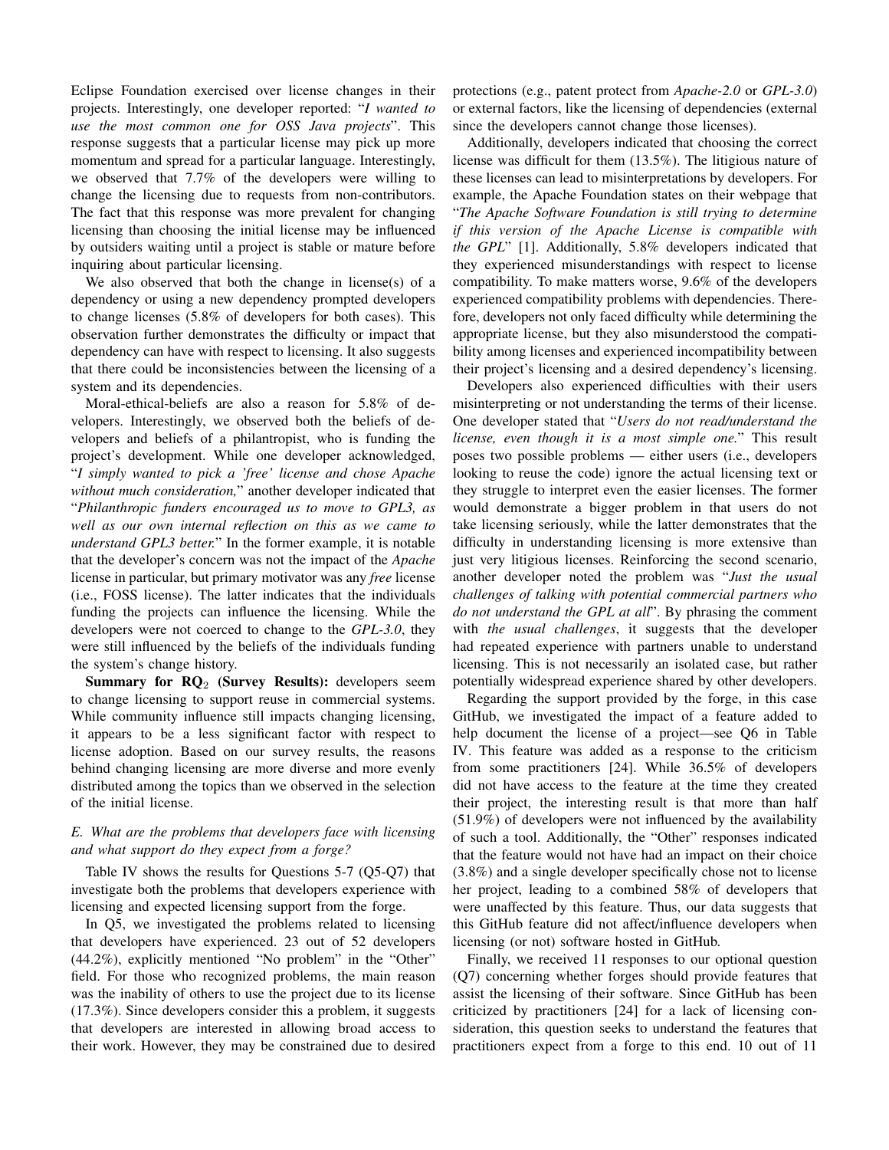Eclipse Foundation exercised over license changes in their projects. Interestingly, one developer reported: "*I wanted to use the most common one for OSS Java projects*". This response suggests that a particular license may pick up more momentum and spread for a particular language. Interestingly, we observed that 7.7% of the developers were willing to change the licensing due to requests from non-contributors. The fact that this response was more prevalent for changing licensing than choosing the initial license may be influenced by outsiders waiting until a project is stable or mature before inquiring about particular licensing.

We also observed that both the change in license(s) of a dependency or using a new dependency prompted developers to change licenses (5.8% of developers for both cases). This observation further demonstrates the difficulty or impact that dependency can have with respect to licensing. It also suggests that there could be inconsistencies between the licensing of a system and its dependencies.

Moral-ethical-beliefs are also a reason for 5.8% of developers. Interestingly, we observed both the beliefs of developers and beliefs of a philantropist, who is funding the project's development. While one developer acknowledged, "*I simply wanted to pick a 'free' license and chose Apache without much consideration,*" another developer indicated that "*Philanthropic funders encouraged us to move to GPL3, as well as our own internal reflection on this as we came to understand GPL3 better.*" In the former example, it is notable that the developer's concern was not the impact of the *Apache* license in particular, but primary motivator was any *free* license (i.e., FOSS license). The latter indicates that the individuals funding the projects can influence the licensing. While the developers were not coerced to change to the *GPL-3.0*, they were still influenced by the beliefs of the individuals funding the system's change history.

Summary for  $RO<sub>2</sub>$  (Survey Results): developers seem to change licensing to support reuse in commercial systems. While community influence still impacts changing licensing, it appears to be a less significant factor with respect to license adoption. Based on our survey results, the reasons behind changing licensing are more diverse and more evenly distributed among the topics than we observed in the selection of the initial license.

# *E. What are the problems that developers face with licensing and what support do they expect from a forge?*

Table IV shows the results for Questions 5-7 (Q5-Q7) that investigate both the problems that developers experience with licensing and expected licensing support from the forge.

In Q5, we investigated the problems related to licensing that developers have experienced. 23 out of 52 developers (44.2%), explicitly mentioned "No problem" in the "Other" field. For those who recognized problems, the main reason was the inability of others to use the project due to its license (17.3%). Since developers consider this a problem, it suggests that developers are interested in allowing broad access to their work. However, they may be constrained due to desired protections (e.g., patent protect from *Apache-2.0* or *GPL-3.0*) or external factors, like the licensing of dependencies (external since the developers cannot change those licenses).

Additionally, developers indicated that choosing the correct license was difficult for them (13.5%). The litigious nature of these licenses can lead to misinterpretations by developers. For example, the Apache Foundation states on their webpage that "*The Apache Software Foundation is still trying to determine if this version of the Apache License is compatible with the GPL*" [1]. Additionally, 5.8% developers indicated that they experienced misunderstandings with respect to license compatibility. To make matters worse, 9.6% of the developers experienced compatibility problems with dependencies. Therefore, developers not only faced difficulty while determining the appropriate license, but they also misunderstood the compatibility among licenses and experienced incompatibility between their project's licensing and a desired dependency's licensing.

Developers also experienced difficulties with their users misinterpreting or not understanding the terms of their license. One developer stated that "*Users do not read/understand the license, even though it is a most simple one.*" This result poses two possible problems — either users (i.e., developers looking to reuse the code) ignore the actual licensing text or they struggle to interpret even the easier licenses. The former would demonstrate a bigger problem in that users do not take licensing seriously, while the latter demonstrates that the difficulty in understanding licensing is more extensive than just very litigious licenses. Reinforcing the second scenario, another developer noted the problem was "*Just the usual challenges of talking with potential commercial partners who do not understand the GPL at all*". By phrasing the comment with *the usual challenges*, it suggests that the developer had repeated experience with partners unable to understand licensing. This is not necessarily an isolated case, but rather potentially widespread experience shared by other developers.

Regarding the support provided by the forge, in this case GitHub, we investigated the impact of a feature added to help document the license of a project—see Q6 in Table IV. This feature was added as a response to the criticism from some practitioners [24]. While 36.5% of developers did not have access to the feature at the time they created their project, the interesting result is that more than half (51.9%) of developers were not influenced by the availability of such a tool. Additionally, the "Other" responses indicated that the feature would not have had an impact on their choice (3.8%) and a single developer specifically chose not to license her project, leading to a combined 58% of developers that were unaffected by this feature. Thus, our data suggests that this GitHub feature did not affect/influence developers when licensing (or not) software hosted in GitHub.

Finally, we received 11 responses to our optional question (Q7) concerning whether forges should provide features that assist the licensing of their software. Since GitHub has been criticized by practitioners [24] for a lack of licensing consideration, this question seeks to understand the features that practitioners expect from a forge to this end. 10 out of 11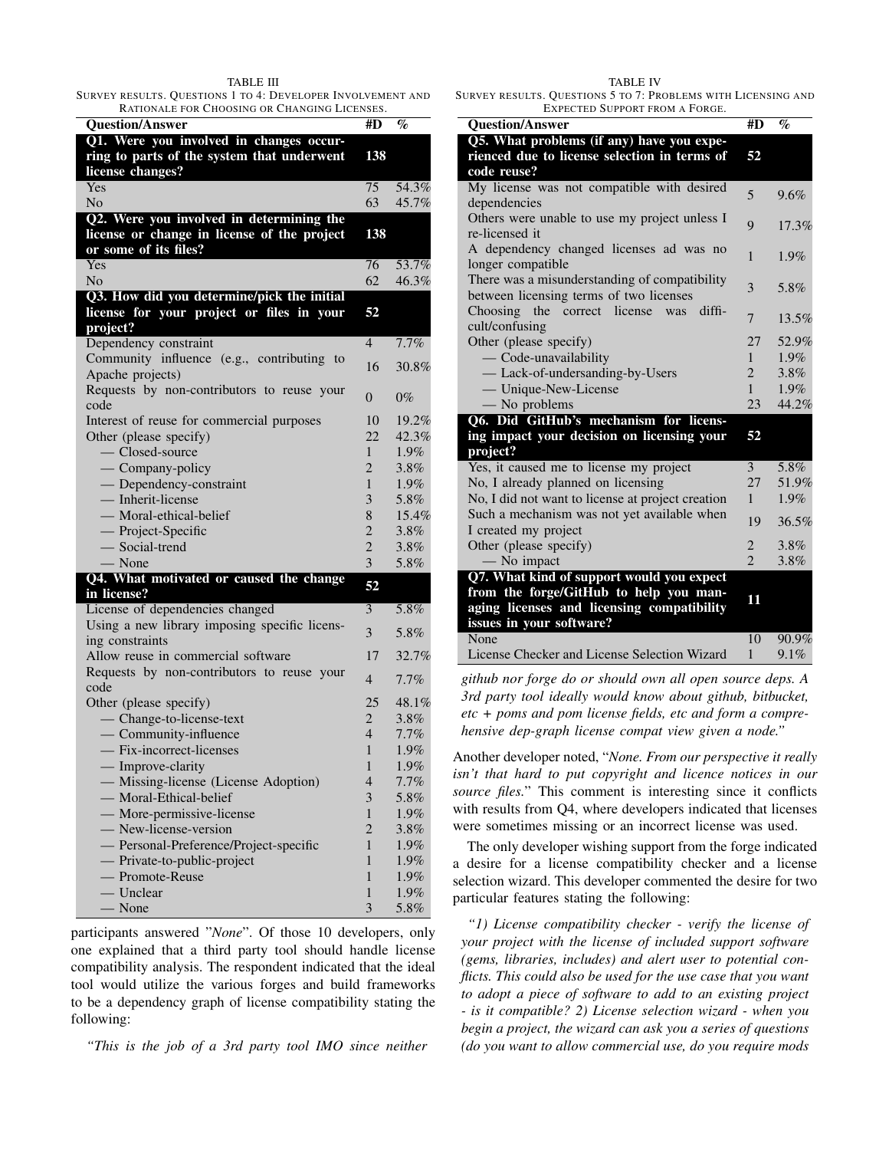#### TABLE III

SURVEY RESULTS. QUESTIONS 1 TO 4: DEVELOPER INVOLVEMENT AND RATIONALE FOR CHOOSING OR CHANGING LICENSES.

| <b>Question/Answer</b>                                         | #D                | %            |
|----------------------------------------------------------------|-------------------|--------------|
| Q1. Were you involved in changes occur-                        |                   |              |
| ring to parts of the system that underwent                     | 138               |              |
| license changes?                                               |                   |              |
| Yes                                                            | 75                | 54.3%        |
| N <sub>0</sub>                                                 | 63                | 45.7%        |
| Q2. Were you involved in determining the                       |                   |              |
| license or change in license of the project                    | 138               |              |
| or some of its files?                                          |                   |              |
| Yes                                                            | 76                | 53.7%        |
| N <sub>0</sub>                                                 | 62                | 46.3%        |
| Q3. How did you determine/pick the initial                     |                   |              |
| license for your project or files in your                      | 52                |              |
| project?                                                       | $\overline{4}$    | 7.7%         |
| Dependency constraint                                          |                   |              |
| Community influence (e.g., contributing to<br>Apache projects) | 16                | 30.8%        |
| Requests by non-contributors to reuse your                     |                   |              |
| code                                                           | $\theta$          | $0\%$        |
| Interest of reuse for commercial purposes                      | 10                | 19.2%        |
| Other (please specify)                                         | 22                | 42.3%        |
| - Closed-source                                                | $\mathbf{1}$      | 1.9%         |
| - Company-policy                                               | $\overline{2}$    | 3.8%         |
| - Dependency-constraint                                        | $\mathbf{1}$      | 1.9%         |
| - Inherit-license                                              | 3                 | 5.8%         |
| - Moral-ethical-belief                                         | 8                 | 15.4%        |
|                                                                | $\overline{2}$    | 3.8%         |
| — Project-Specific<br>— Social-trend                           | $\overline{2}$    | $3.8\%$      |
| $\overline{\phantom{a}}$ None                                  | 3                 | 5.8%         |
| Q4. What motivated or caused the change                        | 52                |              |
| in license?                                                    |                   |              |
| License of dependencies changed                                | 3                 | 5.8%         |
| Using a new library imposing specific licens-                  |                   |              |
|                                                                |                   |              |
| ing constraints                                                | 3                 | 5.8%         |
| Allow reuse in commercial software                             | 17                | 32.7%        |
| Requests by non-contributors to reuse your                     |                   |              |
| code                                                           | $\overline{4}$    | $7.7\%$      |
| Other (please specify)                                         | 25                | 48.1%        |
| - Change-to-license-text                                       | $\overline{2}$    | $3.8\%$      |
| - Community-influence                                          | $\overline{4}$    | 7.7%         |
| - Fix-incorrect-licenses                                       | 1                 | 1.9%         |
| - Improve-clarity                                              | $\mathbf{1}$      | 1.9%         |
| - Missing-license (License Adoption)                           | 4                 | $7.7\%$      |
| - Moral-Ethical-belief                                         | 3                 | 5.8%         |
| — More-permissive-license                                      | 1                 | 1.9%         |
| - New-license-version                                          | $\overline{2}$    | 3.8%         |
| - Personal-Preference/Project-specific                         | $\mathbf{1}$      | 1.9%         |
| - Private-to-public-project                                    | 1                 | 1.9%         |
| - Promote-Reuse                                                | 1                 | 1.9%         |
| - Unclear<br>$-$ None                                          | $\mathbf{1}$<br>3 | 1.9%<br>5.8% |

participants answered "*None*". Of those 10 developers, only one explained that a third party tool should handle license compatibility analysis. The respondent indicated that the ideal tool would utilize the various forges and build frameworks to be a dependency graph of license compatibility stating the following:

*"This is the job of a 3rd party tool IMO since neither*

TABLE IV SURVEY RESULTS. QUESTIONS 5 TO 7: PROBLEMS WITH LICENSING AND EXPECTED SUPPORT FROM A FORGE.

| EXPECTED SUPPORT FROM A FORGE.                                                            |                                |         |
|-------------------------------------------------------------------------------------------|--------------------------------|---------|
| <b>Question/Answer</b>                                                                    | #D                             | $\%$    |
| Q5. What problems (if any) have you expe-<br>rienced due to license selection in terms of | 52                             |         |
| code reuse?                                                                               |                                |         |
| My license was not compatible with desired                                                |                                |         |
| dependencies                                                                              | 5                              | 9.6%    |
| Others were unable to use my project unless I                                             | 9                              | 17.3%   |
| re-licensed it                                                                            |                                |         |
| A dependency changed licenses ad was no                                                   | 1                              | 1.9%    |
| longer compatible                                                                         |                                |         |
| There was a misunderstanding of compatibility                                             | 3                              | 5.8%    |
| between licensing terms of two licenses                                                   |                                |         |
| Choosing the correct license<br>diffi-<br>was                                             | $\overline{7}$                 | 13.5%   |
| cult/confusing                                                                            |                                |         |
| Other (please specify)                                                                    |                                | 52.9%   |
| - Code-unavailability                                                                     | $\mathbf{1}$<br>$\overline{2}$ | $1.9\%$ |
| - Lack-of-undersanding-by-Users                                                           |                                | $3.8\%$ |
| — Unique-New-License                                                                      | $\mathbf{1}$                   | 1.9%    |
| — No problems                                                                             | 23                             | 44.2%   |
| Q6. Did GitHub's mechanism for licens-                                                    | 52                             |         |
| ing impact your decision on licensing your<br>project?                                    |                                |         |
| Yes, it caused me to license my project                                                   | 3                              | 5.8%    |
| No, I already planned on licensing                                                        | 27                             | 51.9%   |
| No, I did not want to license at project creation                                         | $\mathbf{1}$                   | $1.9\%$ |
| Such a mechanism was not yet available when                                               |                                |         |
| I created my project                                                                      |                                | 36.5%   |
| Other (please specify)                                                                    |                                | 3.8%    |
| — No impact                                                                               | $\overline{\mathcal{L}}$       | 3.8%    |
| Q7. What kind of support would you expect                                                 |                                |         |
| from the forge/GitHub to help you man-                                                    | 11                             |         |
| aging licenses and licensing compatibility                                                |                                |         |
| issues in your software?                                                                  |                                |         |
| None                                                                                      | 10                             | 90.9%   |
| License Checker and License Selection Wizard                                              | 1                              | 9.1%    |

*github nor forge do or should own all open source deps. A 3rd party tool ideally would know about github, bitbucket, etc + poms and pom license fields, etc and form a comprehensive dep-graph license compat view given a node."*

Another developer noted, "*None. From our perspective it really isn't that hard to put copyright and licence notices in our source files.*" This comment is interesting since it conflicts with results from Q4, where developers indicated that licenses were sometimes missing or an incorrect license was used.

The only developer wishing support from the forge indicated a desire for a license compatibility checker and a license selection wizard. This developer commented the desire for two particular features stating the following:

*"1) License compatibility checker - verify the license of your project with the license of included support software (gems, libraries, includes) and alert user to potential conflicts. This could also be used for the use case that you want to adopt a piece of software to add to an existing project - is it compatible? 2) License selection wizard - when you begin a project, the wizard can ask you a series of questions (do you want to allow commercial use, do you require mods*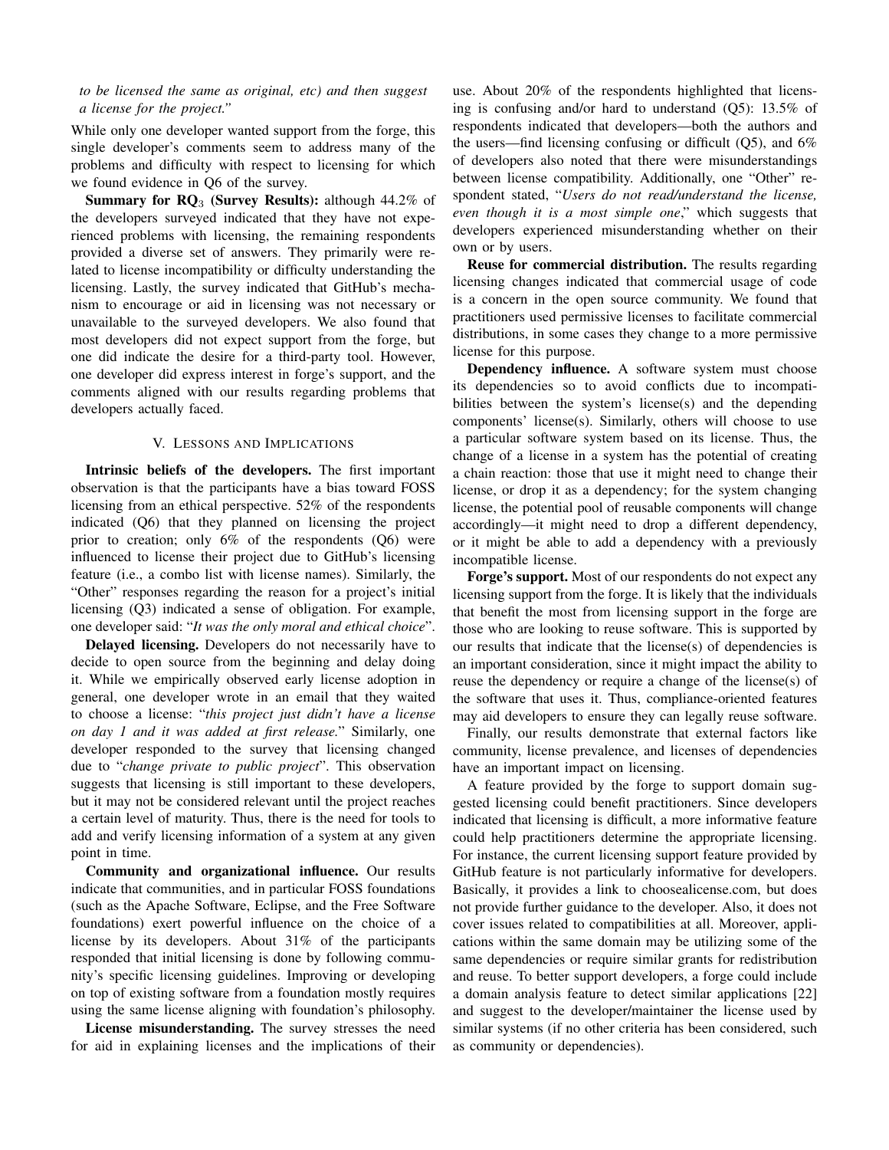# *to be licensed the same as original, etc) and then suggest a license for the project."*

While only one developer wanted support from the forge, this single developer's comments seem to address many of the problems and difficulty with respect to licensing for which we found evidence in Q6 of the survey.

Summary for  $RQ_3$  (Survey Results): although 44.2% of the developers surveyed indicated that they have not experienced problems with licensing, the remaining respondents provided a diverse set of answers. They primarily were related to license incompatibility or difficulty understanding the licensing. Lastly, the survey indicated that GitHub's mechanism to encourage or aid in licensing was not necessary or unavailable to the surveyed developers. We also found that most developers did not expect support from the forge, but one did indicate the desire for a third-party tool. However, one developer did express interest in forge's support, and the comments aligned with our results regarding problems that developers actually faced.

## V. LESSONS AND IMPLICATIONS

Intrinsic beliefs of the developers. The first important observation is that the participants have a bias toward FOSS licensing from an ethical perspective. 52% of the respondents indicated (Q6) that they planned on licensing the project prior to creation; only 6% of the respondents (Q6) were influenced to license their project due to GitHub's licensing feature (i.e., a combo list with license names). Similarly, the "Other" responses regarding the reason for a project's initial licensing (Q3) indicated a sense of obligation. For example, one developer said: "*It was the only moral and ethical choice*".

Delayed licensing. Developers do not necessarily have to decide to open source from the beginning and delay doing it. While we empirically observed early license adoption in general, one developer wrote in an email that they waited to choose a license: "*this project just didn't have a license on day 1 and it was added at first release.*" Similarly, one developer responded to the survey that licensing changed due to "*change private to public project*". This observation suggests that licensing is still important to these developers, but it may not be considered relevant until the project reaches a certain level of maturity. Thus, there is the need for tools to add and verify licensing information of a system at any given point in time.

Community and organizational influence. Our results indicate that communities, and in particular FOSS foundations (such as the Apache Software, Eclipse, and the Free Software foundations) exert powerful influence on the choice of a license by its developers. About 31% of the participants responded that initial licensing is done by following community's specific licensing guidelines. Improving or developing on top of existing software from a foundation mostly requires using the same license aligning with foundation's philosophy.

License misunderstanding. The survey stresses the need for aid in explaining licenses and the implications of their

use. About 20% of the respondents highlighted that licensing is confusing and/or hard to understand (Q5): 13.5% of respondents indicated that developers—both the authors and the users—find licensing confusing or difficult  $(Q5)$ , and  $6\%$ of developers also noted that there were misunderstandings between license compatibility. Additionally, one "Other" respondent stated, "*Users do not read/understand the license, even though it is a most simple one*," which suggests that developers experienced misunderstanding whether on their own or by users.

Reuse for commercial distribution. The results regarding licensing changes indicated that commercial usage of code is a concern in the open source community. We found that practitioners used permissive licenses to facilitate commercial distributions, in some cases they change to a more permissive license for this purpose.

Dependency influence. A software system must choose its dependencies so to avoid conflicts due to incompatibilities between the system's license(s) and the depending components' license(s). Similarly, others will choose to use a particular software system based on its license. Thus, the change of a license in a system has the potential of creating a chain reaction: those that use it might need to change their license, or drop it as a dependency; for the system changing license, the potential pool of reusable components will change accordingly—it might need to drop a different dependency, or it might be able to add a dependency with a previously incompatible license.

Forge's support. Most of our respondents do not expect any licensing support from the forge. It is likely that the individuals that benefit the most from licensing support in the forge are those who are looking to reuse software. This is supported by our results that indicate that the license(s) of dependencies is an important consideration, since it might impact the ability to reuse the dependency or require a change of the license(s) of the software that uses it. Thus, compliance-oriented features may aid developers to ensure they can legally reuse software.

Finally, our results demonstrate that external factors like community, license prevalence, and licenses of dependencies have an important impact on licensing.

A feature provided by the forge to support domain suggested licensing could benefit practitioners. Since developers indicated that licensing is difficult, a more informative feature could help practitioners determine the appropriate licensing. For instance, the current licensing support feature provided by GitHub feature is not particularly informative for developers. Basically, it provides a link to choosealicense.com, but does not provide further guidance to the developer. Also, it does not cover issues related to compatibilities at all. Moreover, applications within the same domain may be utilizing some of the same dependencies or require similar grants for redistribution and reuse. To better support developers, a forge could include a domain analysis feature to detect similar applications [22] and suggest to the developer/maintainer the license used by similar systems (if no other criteria has been considered, such as community or dependencies).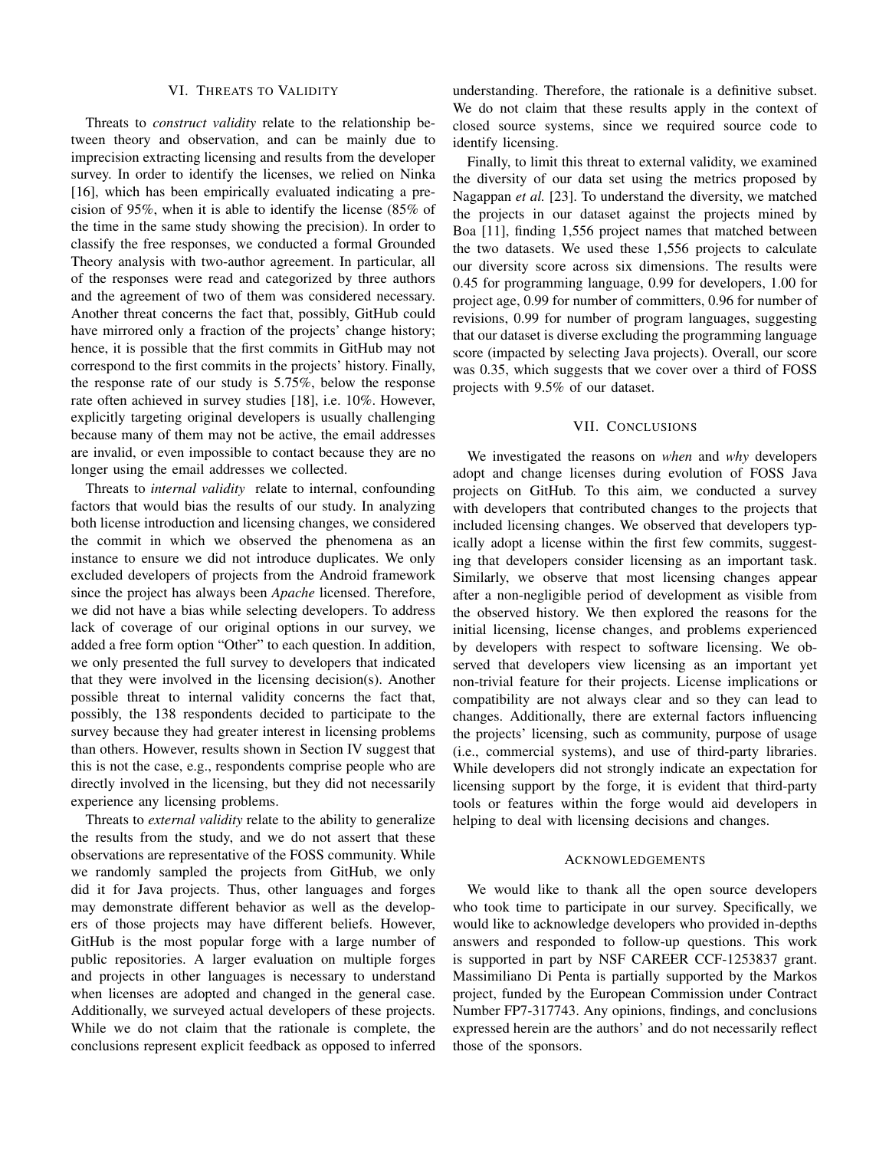#### VI. THREATS TO VALIDITY

Threats to *construct validity* relate to the relationship between theory and observation, and can be mainly due to imprecision extracting licensing and results from the developer survey. In order to identify the licenses, we relied on Ninka [16], which has been empirically evaluated indicating a precision of 95%, when it is able to identify the license (85% of the time in the same study showing the precision). In order to classify the free responses, we conducted a formal Grounded Theory analysis with two-author agreement. In particular, all of the responses were read and categorized by three authors and the agreement of two of them was considered necessary. Another threat concerns the fact that, possibly, GitHub could have mirrored only a fraction of the projects' change history; hence, it is possible that the first commits in GitHub may not correspond to the first commits in the projects' history. Finally, the response rate of our study is 5.75%, below the response rate often achieved in survey studies [18], i.e. 10%. However, explicitly targeting original developers is usually challenging because many of them may not be active, the email addresses are invalid, or even impossible to contact because they are no longer using the email addresses we collected.

Threats to *internal validity* relate to internal, confounding factors that would bias the results of our study. In analyzing both license introduction and licensing changes, we considered the commit in which we observed the phenomena as an instance to ensure we did not introduce duplicates. We only excluded developers of projects from the Android framework since the project has always been *Apache* licensed. Therefore, we did not have a bias while selecting developers. To address lack of coverage of our original options in our survey, we added a free form option "Other" to each question. In addition, we only presented the full survey to developers that indicated that they were involved in the licensing decision(s). Another possible threat to internal validity concerns the fact that, possibly, the 138 respondents decided to participate to the survey because they had greater interest in licensing problems than others. However, results shown in Section IV suggest that this is not the case, e.g., respondents comprise people who are directly involved in the licensing, but they did not necessarily experience any licensing problems.

Threats to *external validity* relate to the ability to generalize the results from the study, and we do not assert that these observations are representative of the FOSS community. While we randomly sampled the projects from GitHub, we only did it for Java projects. Thus, other languages and forges may demonstrate different behavior as well as the developers of those projects may have different beliefs. However, GitHub is the most popular forge with a large number of public repositories. A larger evaluation on multiple forges and projects in other languages is necessary to understand when licenses are adopted and changed in the general case. Additionally, we surveyed actual developers of these projects. While we do not claim that the rationale is complete, the conclusions represent explicit feedback as opposed to inferred

understanding. Therefore, the rationale is a definitive subset. We do not claim that these results apply in the context of closed source systems, since we required source code to identify licensing.

Finally, to limit this threat to external validity, we examined the diversity of our data set using the metrics proposed by Nagappan *et al.* [23]. To understand the diversity, we matched the projects in our dataset against the projects mined by Boa [11], finding 1,556 project names that matched between the two datasets. We used these 1,556 projects to calculate our diversity score across six dimensions. The results were 0.45 for programming language, 0.99 for developers, 1.00 for project age, 0.99 for number of committers, 0.96 for number of revisions, 0.99 for number of program languages, suggesting that our dataset is diverse excluding the programming language score (impacted by selecting Java projects). Overall, our score was 0.35, which suggests that we cover over a third of FOSS projects with 9.5% of our dataset.

## VII. CONCLUSIONS

We investigated the reasons on *when* and *why* developers adopt and change licenses during evolution of FOSS Java projects on GitHub. To this aim, we conducted a survey with developers that contributed changes to the projects that included licensing changes. We observed that developers typically adopt a license within the first few commits, suggesting that developers consider licensing as an important task. Similarly, we observe that most licensing changes appear after a non-negligible period of development as visible from the observed history. We then explored the reasons for the initial licensing, license changes, and problems experienced by developers with respect to software licensing. We observed that developers view licensing as an important yet non-trivial feature for their projects. License implications or compatibility are not always clear and so they can lead to changes. Additionally, there are external factors influencing the projects' licensing, such as community, purpose of usage (i.e., commercial systems), and use of third-party libraries. While developers did not strongly indicate an expectation for licensing support by the forge, it is evident that third-party tools or features within the forge would aid developers in helping to deal with licensing decisions and changes.

## ACKNOWLEDGEMENTS

We would like to thank all the open source developers who took time to participate in our survey. Specifically, we would like to acknowledge developers who provided in-depths answers and responded to follow-up questions. This work is supported in part by NSF CAREER CCF-1253837 grant. Massimiliano Di Penta is partially supported by the Markos project, funded by the European Commission under Contract Number FP7-317743. Any opinions, findings, and conclusions expressed herein are the authors' and do not necessarily reflect those of the sponsors.